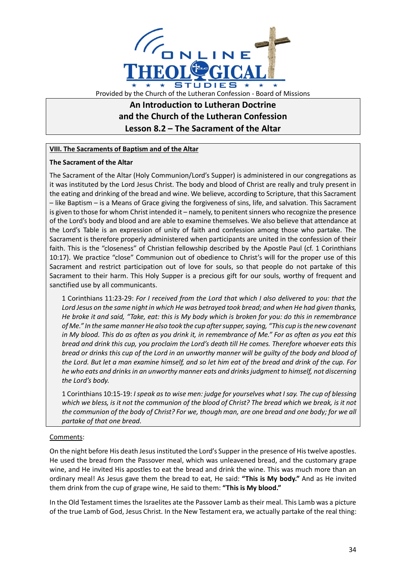

# **An Introduction to Lutheran Doctrine and the Church of the Lutheran Confession Lesson 8.2 – The Sacrament of the Altar**

## **VIII. The Sacraments of Baptism and of the Altar**

### **The Sacrament of the Altar**

The Sacrament of the Altar (Holy Communion/Lord's Supper) is administered in our congregations as it was instituted by the Lord Jesus Christ. The body and blood of Christ are really and truly present in the eating and drinking of the bread and wine. We believe, according to Scripture, that this Sacrament – like Baptism – is a Means of Grace giving the forgiveness of sins, life, and salvation. This Sacrament is given to those for whom Christ intended it – namely, to penitent sinners who recognize the presence of the Lord's body and blood and are able to examine themselves. We also believe that attendance at the Lord's Table is an expression of unity of faith and confession among those who partake. The Sacrament is therefore properly administered when participants are united in the confession of their faith. This is the "closeness" of Christian fellowship described by the Apostle Paul (cf. 1 Corinthians 10:17). We practice "close" Communion out of obedience to Christ's will for the proper use of this Sacrament and restrict participation out of love for souls, so that people do not partake of this Sacrament to their harm. This Holy Supper is a precious gift for our souls, worthy of frequent and sanctified use by all communicants.

1 Corinthians 11:23-29: *For I received from the Lord that which I also delivered to you: that the Lord Jesus on the same night in which He was betrayed took bread; and when He had given thanks, He broke it and said, "Take, eat: this is My body which is broken for you: do this in remembrance of Me." In the same manner He also took the cup after supper, saying, "This cup is the new covenant in My blood. This do as often as you drink it, in remembrance of Me." For as often as you eat this bread and drink this cup, you proclaim the Lord's death till He comes. Therefore whoever eats this bread or drinks this cup of the Lord in an unworthy manner will be guilty of the body and blood of the Lord. But let a man examine himself, and so let him eat of the bread and drink of the cup. For he who eats and drinks in an unworthy manner eats and drinks judgment to himself, not discerning the Lord's body.*

1 Corinthians 10:15-19: *I speak as to wise men: judge for yourselves what I say. The cup of blessing which we bless, is it not the communion of the blood of Christ? The bread which we break, is it not the communion of the body of Christ? For we, though man, are one bread and one body; for we all partake of that one bread.*

### Comments:

On the night before His death Jesus instituted the Lord's Supper in the presence of His twelve apostles. He used the bread from the Passover meal, which was unleavened bread, and the customary grape wine, and He invited His apostles to eat the bread and drink the wine. This was much more than an ordinary meal! As Jesus gave them the bread to eat, He said: **"This is My body."** And as He invited them drink from the cup of grape wine, He said to them: **"This is My blood."**

In the Old Testament times the Israelites ate the Passover Lamb as their meal. This Lamb was a picture of the true Lamb of God, Jesus Christ. In the New Testament era, we actually partake of the real thing: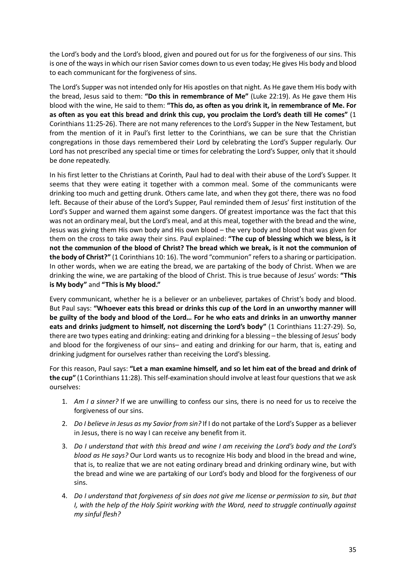the Lord's body and the Lord's blood, given and poured out for us for the forgiveness of our sins. This is one of the ways in which our risen Savior comes down to us even today; He gives His body and blood to each communicant for the forgiveness of sins.

The Lord's Supper was not intended only for His apostles on that night. As He gave them His body with the bread, Jesus said to them: **"Do this in remembrance of Me"** (Luke 22:19). As He gave them His blood with the wine, He said to them: **"This do, as often as you drink it, in remembrance of Me. For as often as you eat this bread and drink this cup, you proclaim the Lord's death till He comes"** (1 Corinthians 11:25-26). There are not many references to the Lord's Supper in the New Testament, but from the mention of it in Paul's first letter to the Corinthians, we can be sure that the Christian congregations in those days remembered their Lord by celebrating the Lord's Supper regularly. Our Lord has not prescribed any special time or times for celebrating the Lord's Supper, only that it should be done repeatedly.

In his first letter to the Christians at Corinth, Paul had to deal with their abuse of the Lord's Supper. It seems that they were eating it together with a common meal. Some of the communicants were drinking too much and getting drunk. Others came late, and when they got there, there was no food left. Because of their abuse of the Lord's Supper, Paul reminded them of Jesus' first institution of the Lord's Supper and warned them against some dangers. Of greatest importance was the fact that this was not an ordinary meal, but the Lord's meal, and at this meal, together with the bread and the wine, Jesus was giving them His own body and His own blood – the very body and blood that was given for them on the cross to take away their sins. Paul explained: **"The cup of blessing which we bless, is it not the communion of the blood of Christ? The bread which we break, is it not the communion of the body of Christ?"** (1 Corinthians 10: 16). The word "communion" refers to a sharing or participation. In other words, when we are eating the bread, we are partaking of the body of Christ. When we are drinking the wine, we are partaking of the blood of Christ. This is true because of Jesus' words: **"This is My body"** and **"This is My blood."**

Every communicant, whether he is a believer or an unbeliever, partakes of Christ's body and blood. But Paul says: **"Whoever eats this bread or drinks this cup of the Lord in an unworthy manner will be guilty of the body and blood of the Lord… For he who eats and drinks in an unworthy manner eats and drinks judgment to himself, not discerning the Lord's body"** (1 Corinthians 11:27-29). So, there are two types eating and drinking: eating and drinking for a blessing – the blessing of Jesus' body and blood for the forgiveness of our sins– and eating and drinking for our harm, that is, eating and drinking judgment for ourselves rather than receiving the Lord's blessing.

For this reason, Paul says: **"Let a man examine himself, and so let him eat of the bread and drink of the cup"** (1 Corinthians 11:28). This self-examination should involve at least four questions that we ask ourselves:

- 1. *Am I a sinner?* If we are unwilling to confess our sins, there is no need for us to receive the forgiveness of our sins.
- 2. *Do I believe in Jesus as my Savior from sin?* If I do not partake of the Lord's Supper as a believer in Jesus, there is no way I can receive any benefit from it.
- 3. *Do I understand that with this bread and wine I am receiving the Lord's body and the Lord's blood as He says?* Our Lord wants us to recognize His body and blood in the bread and wine, that is, to realize that we are not eating ordinary bread and drinking ordinary wine, but with the bread and wine we are partaking of our Lord's body and blood for the forgiveness of our sins.
- 4. *Do I understand that forgiveness of sin does not give me license or permission to sin, but that I, with the help of the Holy Spirit working with the Word, need to struggle continually against my sinful flesh?*